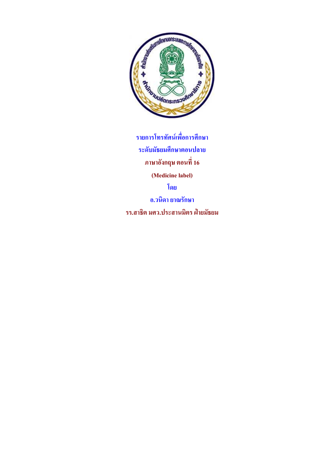

รายการโทรทัศน์เพื่อการศึกษา ระดับมัธยมศึกษาตอนปลาย ภาษาอังกฤษ ตอนที่ 16 **(Medicine label)**  ือ.วนิดา ยาณรักษา รร.สาธิต มศว.ประสานมิตร ฝ่ายมัธยม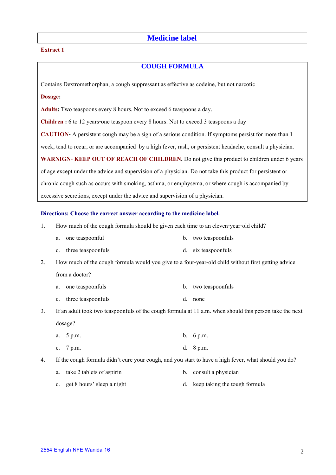# **Medicine label**

## **Extract 1**

# **COUGH FORMULA**

Contains Dextromethorphan, a cough suppressant as effective as codeine, but not narcotic

# **Dosage:**

**Adults:** Two teaspoons every 8 hours. Not to exceed 6 teaspoons a day.

**Children :** 6 to 12 years-one teaspoon every 8 hours. Not to exceed 3 teaspoons a day

**CAUTION**- A persistent cough may be a sign of a serious condition. If symptoms persist for more than 1

week, tend to recur, or are accompanied by a high fever, rash, or persistent headache, consult a physician.

WARNIGN- KEEP OUT OF REACH OF CHILDREN. Do not give this product to children under 6 years

of age except under the advice and supervision of a physician. Do not take this product for persistent or

chronic cough such as occurs with smoking, asthma, or emphysema, or where cough is accompanied by

excessive secretions, except under the advice and supervision of a physician.

#### **Directions: Choose the correct answer according to the medicine label.**

- 1. How much of the cough formula should be given each time to an eleven-year-old child?
	- a. one teaspoonful b. two teaspoonfuls
	- c. three teaspoonfuls d. six teaspoonfuls

2. How much of the cough formula would you give to a four-year-old child without first getting advice from a doctor?

- a. one teaspoonfuls b. two teaspoonfuls
- c. three teaspoonfuls d. none
- 3. If an adult took two teaspoonfuls of the cough formula at 11 a.m. when should this person take the next dosage?
	- a. 5 p.m. b. 6 p.m.
	- c. 7 p.m. d. 8 p.m.
- 4. If the cough formula didn't cure your cough, and you start to have a high fever, what should you do?
	- a. take 2 tablets of aspirin b. consult a physician
	- c. get 8 hours' sleep a night d. keep taking the tough formula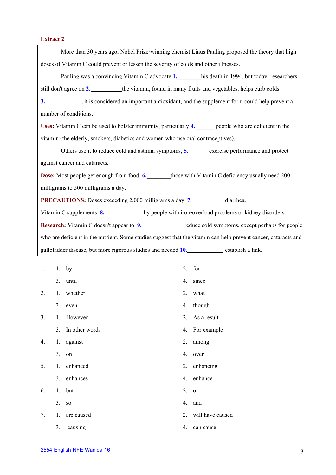# **Extract 2**

| More than 30 years ago, Nobel Prize-winning chemist Linus Pauling proposed the theory that high                 |
|-----------------------------------------------------------------------------------------------------------------|
| doses of Vitamin C could prevent or lessen the severity of colds and other illnesses.                           |
| Pauling was a convincing Vitamin C advocate 1. his death in 1994, but today, researchers                        |
| still don't agree on 2. __________the vitamin, found in many fruits and vegetables, helps curb colds            |
| 3. A set of the supplement form could help prevent a set of the supplement form could help prevent a            |
| number of conditions.                                                                                           |
| Uses: Vitamin C can be used to bolster immunity, particularly 4. superpose who are deficient in the             |
| vitamin (the elderly, smokers, diabetics and women who use oral contraceptives).                                |
| Others use it to reduce cold and asthma symptoms, 5. _______ exercise performance and protect                   |
| against cancer and cataracts.                                                                                   |
| <b>Dose:</b> Most people get enough from food, 6. those with Vitamin C deficiency usually need 200              |
| milligrams to 500 milligrams a day.                                                                             |
| <b>PRECAUTIONS:</b> Doses exceeding 2,000 milligrams a day 7. diarrhea.                                         |
| Vitamin C supplements 8. ______________ by people with iron-overload problems or kidney disorders.              |
| Research: Vitamin C doesn't appear to 9. reduce cold symptoms, except perhaps for people                        |
| who are deficient in the nutrient. Some studies suggest that the vitamin can help prevent cancer, cataracts and |
| gallbladder disease, but more rigorous studies and needed 10. establish a link.                                 |
|                                                                                                                 |

| 1. |    | 1. by          |    | 2. for              |
|----|----|----------------|----|---------------------|
|    |    | 3. until       |    | 4. since            |
| 2. |    | 1. whether     |    | 2. what             |
|    |    | 3. even        |    | 4. though           |
| 3. | 1. | However        |    | 2. As a result      |
|    | 3. | In other words |    | 4. For example      |
| 4. |    | 1. against     | 2. | among               |
|    | 3. | on             | 4. | over                |
| 5. |    | 1. enhanced    |    | 2. enhancing        |
|    |    | 3. enhances    |    | 4. enhance          |
| 6. |    | 1. but         | 2. | or                  |
|    | 3. | <b>SO</b>      | 4. | and                 |
| 7. | 1. | are caused     |    | 2. will have caused |
|    | 3. | causing        | 4. | can cause           |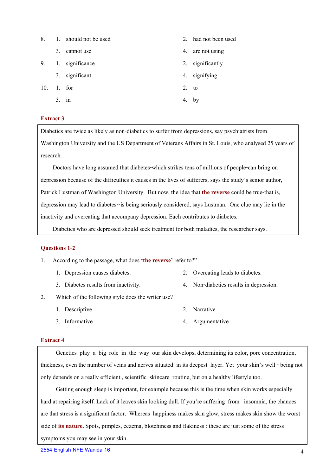| 8.  |    | 1. should not be used |         | 2. had not been used |
|-----|----|-----------------------|---------|----------------------|
|     | 3. | cannot use            |         | 4. are not using     |
| 9.  |    | 1. significance       |         | 2. significantly     |
|     |    | 3. significant        |         | 4. signifying        |
| 10. |    | $1.$ for              | $2.$ to |                      |
|     | 3. | 1n                    |         | 4. by                |

# **Extract 3**

Diabetics are twice as likely as non-diabetics to suffer from depressions, say psychiatrists from Washington University and the US Department of Veterans Affairs in St. Louis, who analysed 25 years of research.

 Doctors have long assumed that diabetes-which strikes tens of millions of people-can bring on depression because of the difficulties it causes in the lives of sufferers, says the study's senior author, Patrick Lustman of Washington University. But now, the idea that **the reverse** could be true-that is, depression may lead to diabetes--is being seriously considered, says Lustman. One clue may lie in the inactivity and overeating that accompany depression. Each contributes to diabetes.

Diabetics who are depressed should seek treatment for both maladies, the researcher says.

## **Questions 1-2**

- 1. According to the passage, what does **'the reverse'** refer to?"
	- 1. Depression causes diabetes. 2. Overeating leads to diabetes.
		-
- 
- 3. Diabetes results from inactivity. 4. Non-diabetics results in depression.
- 2. Which of the following style does the writer use?
	- 1. Descriptive 2. Narrative 2. 2. 2. Narrative
	- 3. Informative 4. Argumentative
- -

## **Extract 4**

Genetics play a big role in the way our skin develops, determining its color, pore concentration, thickness, even the number of veins and nerves situated in its deepest layer. Yet your skin's well - being not only depends on a really efficient , scientific skincare routine, but on a healthy lifestyle too.

 Getting enough sleep is important, for example because this is the time when skin works especially hard at repairing itself. Lack of it leaves skin looking dull. If you're suffering from insomnia, the chances are that stress is a significant factor. Whereas happiness makes skin glow, stress makes skin show the worst side of **its nature.** Spots, pimples, eczema, blotchiness and flakiness : these are just some of the stress symptoms you may see in your skin.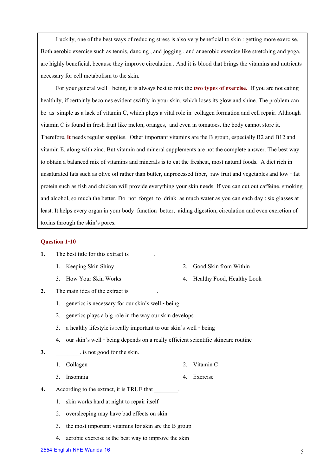Luckily, one of the best ways of reducing stress is also very beneficial to skin : getting more exercise. Both aerobic exercise such as tennis, dancing , and jogging , and anaerobic exercise like stretching and yoga, are highly beneficial, because they improve circulation . And it is blood that brings the vitamins and nutrients necessary for cell metabolism to the skin.

For your general well - being, it is always best to mix the **two types of exercise.** If you are not eating healthily, if certainly becomes evident swiftly in your skin, which loses its glow and shine. The problem can be as simple as a lack of vitamin C, which plays a vital role in collagen formation and cell repair. Although vitamin C is found in fresh fruit like melon, oranges, and even in tomatoes. the body cannot store it. Therefore, **it**needs regular supplies. Other important vitamins are the B group, especially B2 and B12 and vitamin E, along with zinc. But vitamin and mineral supplements are not the complete answer. The best way to obtain a balanced mix of vitamins and minerals is to eat the freshest, most natural foods. A diet rich in unsaturated fats such as olive oil rather than butter, unprocessed fiber, raw fruit and vegetables and low - fat protein such as fish and chicken will provide everything your skin needs. If you can cut out caffeine. smoking and alcohol, so much the better. Do not forget to drink as much water as you can each day : six glasses at least. It helps every organ in your body function better, aiding digestion, circulation and even excretion of toxins through the skin's pores.

## **Question 1-10**

- **1.** The best title for this extract is  $\cdot$ 
	-
	- 3. How Your Skin Works 4. Healthy Food, Healthy Look
- **2.** The main idea of the extract is  $\cdot$ 
	- 1. genetics is necessary for our skin's well being
	- 2. genetics plays a big role in the way our skin develops
	- 3. a healthy lifestyle is really important to our skin's well being
	- 4. our skin's well being depends on a really efficient scientific skincare routine
- **3.**  $\qquad \qquad$  is not good for the skin.
	- 1. Collagen 2. Vitamin C
	- 3. Insomnia 4. Exercise
- **4.** According to the extract, it is TRUE that \_\_\_\_\_\_\_\_.
	- 1. skin works hard at night to repair itself
	- 2. oversleeping may have bad effects on skin
	- 3. the most important vitamins for skin are the B group
	- 4. aerobic exercise is the best way to improve the skin
- **2554 English NFE Wanida 16** 5
- 1. Keeping Skin Shiny 2. Good Skin from Within
	-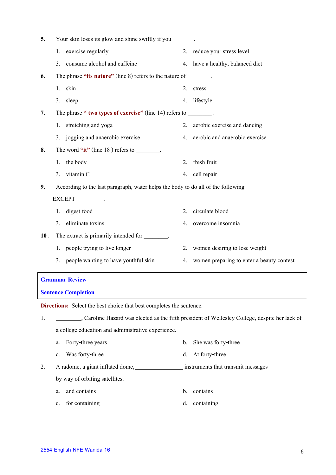| 5.  |    | Your skin loses its glow and shine swiftly if you _______.                       |    |                                           |
|-----|----|----------------------------------------------------------------------------------|----|-------------------------------------------|
|     | 1. | exercise regularly                                                               | 2. | reduce your stress level                  |
|     | 3. | consume alcohol and caffeine                                                     |    | 4. have a healthy, balanced diet          |
| 6.  |    | The phrase "its nature" (line 8) refers to the nature of _______.                |    |                                           |
|     | 1. | skin                                                                             | 2. | stress                                    |
|     |    | 3. sleep                                                                         | 4. | lifestyle                                 |
| 7.  |    | The phrase " two types of exercise" (line 14) refers to $\qquad \qquad$ .        |    |                                           |
|     |    | 1. stretching and yoga                                                           | 2. | aerobic exercise and dancing              |
|     |    | 3. jogging and anaerobic exercise                                                | 4. | aerobic and anaerobic exercise            |
| 8.  |    | The word "it" (line $18$ ) refers to $\qquad \qquad$ .                           |    |                                           |
|     | 1. | the body                                                                         | 2. | fresh fruit                               |
|     |    | 3. vitamin C                                                                     | 4. | cell repair                               |
| 9.  |    | According to the last paragraph, water helps the body to do all of the following |    |                                           |
|     |    | EXCEPT .                                                                         |    |                                           |
|     | 1. | digest food                                                                      | 2. | circulate blood                           |
|     | 3. | eliminate toxins                                                                 | 4. | overcome insomnia                         |
| 10. |    | The extract is primarily intended for ________.                                  |    |                                           |
|     |    | 1. people trying to live longer                                                  | 2. | women desiring to lose weight             |
|     | 3. | people wanting to have youthful skin                                             | 4. | women preparing to enter a beauty contest |
|     |    |                                                                                  |    |                                           |

# **Grammar Review**

| <b>Sentence Completion</b> |  |
|----------------------------|--|

**Directions:** Select the best choice that best completes the sentence.

1. Caroline Hazard was elected as the fifth president of Wellesley College, despite her lack of a college education and administrative experience.

- a. Forty-three years b. She was forty-three c. Was forty-three d. At forty-three
- 2. A radome, a giant inflated dome, instruments that transmit messages by way of orbiting satellites.
	- a. and contains b. contains b. contains
	- c. for containing d. containing d. containing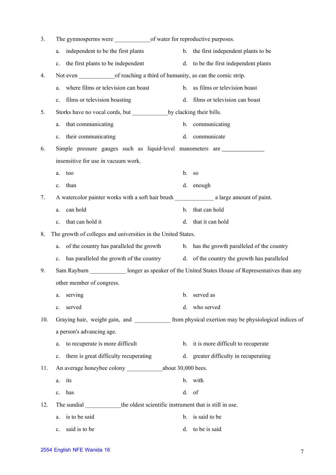| 3.  |                                                                                                                                    |    |                                             |
|-----|------------------------------------------------------------------------------------------------------------------------------------|----|---------------------------------------------|
|     | independent to be the first plants<br>a.                                                                                           |    | b. the first independent plants to be       |
|     | the first plants to be independent<br>c.                                                                                           |    | d. to be the first independent plants       |
| 4.  | Not even of reaching a third of humanity, as can the comic strip.                                                                  |    |                                             |
|     | where films or television can boast<br>a.                                                                                          |    | b. as films or television boast             |
|     | films or television boasting<br>c.                                                                                                 | d. | films or television can boast               |
| 5.  |                                                                                                                                    |    |                                             |
|     | that communicating<br>a.                                                                                                           |    | b. communicating                            |
|     | their communicating<br>c.                                                                                                          | d. | communicate                                 |
| 6.  | Simple pressure gauges such as liquid-level manometers are ______________                                                          |    |                                             |
|     | insensitive for use in vacuum work.                                                                                                |    |                                             |
|     | too<br>a.                                                                                                                          |    | b. so                                       |
|     | than<br>c.                                                                                                                         |    | d. enough                                   |
| 7.  |                                                                                                                                    |    |                                             |
|     | can hold<br>a.                                                                                                                     | b. | that can hold                               |
|     | that can hold it<br>c.                                                                                                             | d. | that it can hold                            |
| 8.  | The growth of colleges and universities in the United States.                                                                      |    |                                             |
|     | of the country has paralleled the growth<br>a.                                                                                     |    | b. has the growth paralleled of the country |
|     | has paralleled the growth of the country d. of the country the growth has paralleled<br>c.                                         |    |                                             |
| 9.  | Sam Rayburn <b>Exam Sam Rayburn Exam Sam Rayburn I</b> conserved as speaker of the United States House of Representatives than any |    |                                             |
|     | other member of congress.                                                                                                          |    |                                             |
|     | serving<br>a.                                                                                                                      | b. | served as                                   |
|     | served<br>c.                                                                                                                       | d. | who served                                  |
| 10. | Graying hair, weight gain, and from physical exertion may be physiological indices of                                              |    |                                             |
|     | a person's advancing age.                                                                                                          |    |                                             |
|     | to recuperate is more difficult<br>a.                                                                                              |    | b. it is more difficult to recuperate       |
|     | there is great difficulty recuperating<br>c.                                                                                       |    | d. greater difficulty in recuperating       |
| 11. |                                                                                                                                    |    |                                             |
|     | its<br>a.                                                                                                                          |    | b. with                                     |
|     | has<br>$c_{\cdot}$                                                                                                                 |    | d. of                                       |
| 12. | The sundial the oldest scientific instrument that is still in use.                                                                 |    |                                             |
|     | is to be said<br>a.                                                                                                                |    | b. is said to be                            |
|     | said is to be<br>c.                                                                                                                | d. | to be is said                               |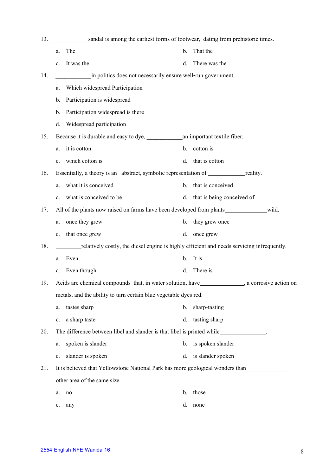| 13. |                | sandal is among the earliest forms of footwear, dating from prehistoric times.                   |                |                            |
|-----|----------------|--------------------------------------------------------------------------------------------------|----------------|----------------------------|
|     | a.             | The                                                                                              | b.             | That the                   |
|     | c.             | It was the                                                                                       | d.             | There was the              |
| 14. |                | in politics does not necessarily ensure well-run government.                                     |                |                            |
|     | a.             | Which widespread Participation                                                                   |                |                            |
|     | b.             | Participation is widespread                                                                      |                |                            |
|     | b.             | Participation widespread is there                                                                |                |                            |
|     | d.             | Widespread participation                                                                         |                |                            |
| 15. |                |                                                                                                  |                |                            |
|     | a.             | it is cotton                                                                                     | b.             | cotton is                  |
|     | c.             | which cotton is                                                                                  | d.             | that is cotton             |
| 16. |                | Essentially, a theory is an abstract, symbolic representation of <u>equallity</u> .              |                |                            |
|     | a.             | what it is conceived                                                                             | b.             | that is conceived          |
|     | c.             | what is conceived to be                                                                          | d.             | that is being conceived of |
| 17. |                |                                                                                                  |                |                            |
|     | a.             | once they grew                                                                                   | b.             | they grew once             |
|     | $\mathbf{c}$ . | that once grew                                                                                   | d.             | once grew                  |
| 18. |                | relatively costly, the diesel engine is highly efficient and needs servicing infrequently.       |                |                            |
|     | a.             | Even                                                                                             | $\mathbf b$ .  | It is                      |
|     | $\mathbf{c}$ . | Even though                                                                                      | d.             | There is                   |
| 19. |                | Acids are chemical compounds that, in water solution, have_______________, a corrosive action on |                |                            |
|     |                | metals, and the ability to turn certain blue vegetable dyes red.                                 |                |                            |
|     | a.             | tastes sharp                                                                                     | b.             | sharp-tasting              |
|     | c.             | a sharp taste                                                                                    | d.             | tasting sharp              |
| 20. |                | The difference between libel and slander is that libel is printed while_______________.          |                |                            |
|     | a.             | spoken is slander                                                                                | $\mathbf{b}$ . | is spoken slander          |
|     | c.             | slander is spoken                                                                                | d.             | is slander spoken          |
| 21. |                | It is believed that Yellowstone National Park has more geological wonders than                   |                |                            |
|     |                | other area of the same size.                                                                     |                |                            |
|     | a.             | no                                                                                               | b.             | those                      |
|     | c.             | any                                                                                              | d.             | none                       |